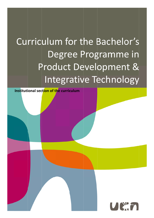# Curriculum for the Bachelor's Product Development & Degree Programme in Integrative Technology

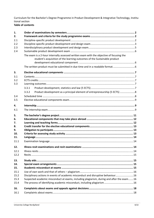Curriculum for the Bachelor's Degree Programme in Product Development & Integrative Technology, Institu‐ tional section **Table of contents**

| 1.   |                                                                                                                                                                       |  |
|------|-----------------------------------------------------------------------------------------------------------------------------------------------------------------------|--|
| 2.   |                                                                                                                                                                       |  |
| 2.1  |                                                                                                                                                                       |  |
| 2.2  |                                                                                                                                                                       |  |
| 2.3  |                                                                                                                                                                       |  |
| 2.4  |                                                                                                                                                                       |  |
|      | The exam is a 2-hour internally assessed written exam with the objective of focusing the<br>student's acquisition of the learning outcomes of the Sustainable product |  |
|      |                                                                                                                                                                       |  |
| 3.   |                                                                                                                                                                       |  |
| 3.1  |                                                                                                                                                                       |  |
| 3.2  |                                                                                                                                                                       |  |
| 3.3  |                                                                                                                                                                       |  |
|      | 3.3.1                                                                                                                                                                 |  |
|      | Product development as a principal element of entrepreneurship (5 ECTS) 8<br>3.3.2                                                                                    |  |
| 3.4  |                                                                                                                                                                       |  |
| 3.5  |                                                                                                                                                                       |  |
|      |                                                                                                                                                                       |  |
| 4.   |                                                                                                                                                                       |  |
| 4.1  |                                                                                                                                                                       |  |
| 5.   |                                                                                                                                                                       |  |
| 6.   |                                                                                                                                                                       |  |
| 7.   |                                                                                                                                                                       |  |
| 8.   |                                                                                                                                                                       |  |
| 9.   |                                                                                                                                                                       |  |
| 10.  |                                                                                                                                                                       |  |
| 11.  |                                                                                                                                                                       |  |
| 11.1 |                                                                                                                                                                       |  |
| 12.  |                                                                                                                                                                       |  |
| 12.1 |                                                                                                                                                                       |  |
| 12.2 |                                                                                                                                                                       |  |
| 13.  |                                                                                                                                                                       |  |
| 14.  |                                                                                                                                                                       |  |
| 15.  |                                                                                                                                                                       |  |
| 15.1 |                                                                                                                                                                       |  |
| 15.2 | Disciplinary actions in events of academic misconduct and disruptive behaviour 16                                                                                     |  |
| 15.3 | Suspected academic misconduct at exams, including plagiarism, during and after the exam16                                                                             |  |
| 15.4 |                                                                                                                                                                       |  |
| 16.  |                                                                                                                                                                       |  |
| 16.1 |                                                                                                                                                                       |  |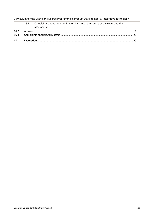|  | 16.1.1 Complaints about the examination basis etc., the course of the exam and the |  |
|--|------------------------------------------------------------------------------------|--|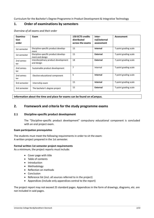# **1. Order of examinations by semesters**

| Examina-<br>tion<br>order | Exam                                                    | <b>150 ECTS credits</b><br>distributed<br>across the exams | Inter-<br>nal/external<br>assessment | <b>Assessment</b>     |
|---------------------------|---------------------------------------------------------|------------------------------------------------------------|--------------------------------------|-----------------------|
| 1st semester              | Discipline-specific product develop-<br>ment            | 15                                                         | Internal                             | 7-point grading scale |
| 1st semester              | Discipline-specific product develop-<br>ment and design | 15                                                         | External                             | 7-point grading scale |
| 2nd semes-<br>ter         | Interdisciplinary product development<br>and design     | 18                                                         | External                             | 7-point grading scale |
| 2nd semes-<br>ter         | Sustainable product development                         | 7                                                          | Internal                             | 7-point grading scale |
| 2nd semes-<br>ter         | Elective educational component                          | 5                                                          | Internal                             | 7-point grading scale |
| 3rd semester              | Internship exam                                         | 15                                                         | Internal                             | 7-point grading scale |
| 3rd semester              | The bachelor's degree project                           | 15                                                         | External                             | 7-point grading scale |

*Overview of all exams and their order*

**Information about the time and place for exams can be found on eCampus.**

# **2. Framework and criteria for the study programme exams**

#### **2.1 Discipline‐specific product development**

The "Discipline‐specific product development" compulsory educational component is concluded with an oral project exam.

#### **Exam participation prerequisites**

The students must meet the following requirements in order to sit the exam: A written project prepared in the 1st semester.

#### **Formal written 1st semester project requirements**

As a minimum, the project reports must include:

- Cover page with title
- Table of contents
- Introduction
- Methodology
- Reflection on methods
- Conclusion
- Reference list (incl. all sources referred to in the project)
- Appendices (include only appendices central to the report)

The project report may not exceed 25 standard pages. Appendices in the form of drawings, diagrams, etc. are not included in said pages.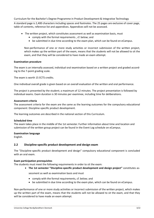A standard page is 2,400 characters including spaces and footnotes. The 25 pages are exclusive of cover page, table of contents, reference list and appendices. Appendices will not be assessed.

- The written project, which constitutes assessment as well as examination basis, must
	- comply with the formal requirements , cf. below; and
	- be submitted in due time according to the exam plan, which can be found on eCampus.

Non-performance of one or more study activities or incorrect submission of the written project, which makes up the written part of the exam, means that the students will not be allowed to sit the exam, and that they will be considered to have made an exam attempt.

#### **Examination procedure**

The exam is an internally assessed, individual oral examination based on a written project and graded accord‐ ing to the 7‐point grading scale.

The exam is worth 15 ECTS credits.

One individual overall grade is given based on an overall evaluation of the written and oral performance.

The project is presented by the student; a maximum of 12 minutes. The project presentation is followed by individual exams. Exam duration is 30 minutes per examinee, including time for deliberations.

#### **Assessment criteria**

The assessment criteria for the exam are the same as the learning outcomes for the compulsory educational component: Discipline‐specific product development.

The learning outcomes are described in the national section of this Curriculum.

#### **Scheduled time**

The exam takes place in the middle of the 1st semester. Further information about time and location and submission of the written group project can be found in the Event Log schedule on eCampus.

#### **Examination language**

English.

#### **2.2 Discipline‐specific product development and design exam**

The "Discipline‐specific product development and design" compulsory educational component is concluded with an oral exam.

#### **Exam participation prerequisites**

The students must meet the following requirements in order to sit the exam:

**The 1st semester "Discipline‐specific product development and design project"** constitutes as‐

sessment as well as examination basis and must

- comply with the formal requirements, cf. below; and
- be submitted in due time according to the exam plan, which can be found on eCampus.

Non-performance of one or more study activities or incorrect submission of the written project, which makes up the written part of the exam, means that the students will not be allowed to sit the exam, and that they will be considered to have made an exam attempt.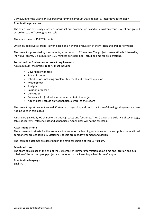#### **Examination procedure**

The exam is an externally assessed, individual oral examination based on a written group project and graded according to the 7‐point grading scale.

The exam is worth 15 ECTS credits.

One individual overall grade is given based on an overall evaluation of the written and oral performance.

The project is presented by the students; a maximum of 12 minutes. The project presentation is followed by individual exams. Exam duration is 30 minutes per examinee, including time for deliberations.

#### **Formal written 2nd semester project requirements**

As a minimum, the project reports must include:

- Cover page with title
- Table of contents
- Introduction, including problem statement and research question
- Methodology
- Analysis
- Solution proposals
- Conclusion
- Reference list (incl. all sources referred to in the project)
- Appendices (include only appendices central to the report)

The project report may not exceed 30 standard pages. Appendices in the form of drawings, diagrams, etc. are not included in said pages.

A standard page is 2,400 characters including spaces and footnotes. The 30 pages are exclusive of cover page, table of contents, reference list and appendices. Appendices will not be assessed.

#### **Assessment criteria**

The assessment criteria for the exam are the same as the learning outcomes for the compulsory educational component: project period 2, Discipline‐specific product development and design

The learning outcomes are described in the national section of this Curriculum.

#### **Scheduled time**

The exam takes place at the end of the 1st semester. Further information about time and location and sub‐ mission of the written group project can be found in the Event Log schedule on eCampus.

#### **Examination language**

English.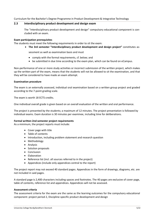## **2.3 Interdisciplinary product development and design exam**

The "Interdisciplinary product development and design" compulsory educational component is con‐ cluded with an exam.

## **Exam participation prerequisites**

The students must meet the following requirements in order to sit the exam:

**The 3rd semester "Interdisciplinary product development and design project"** constitutes as‐

sessment as well as examination basis and must

- comply with the formal requirements, cf. below; and
- be submitted in due time according to the exam plan, which can be found on eCampus.

Non-performance of one or more study activities or incorrect submission of the written project, which makes up the written part of the exam, means that the students will not be allowed to sit the examination, and that they will be considered to have made an exam attempt.

#### **Examination procedure**

The exam is an externally assessed, individual oral examination based on a written group project and graded according to the 7‐point grading scale.

The exam is worth 18 ECTS credits.

One individual overall grade is given based on an overall evaluation of the written and oral performance.

The project is presented by the students; a maximum of 12 minutes. The project presentation is followed by individual exams. Exam duration is 30 minutes per examinee, including time for deliberations.

#### **Formal written 2nd semester project requirements**

As a minimum, the project reports must include:

- Cover page with title
- Table of contents
- Introduction, including problem statement and research question
- Methodology
- Analysis
- Solution proposals
- Conclusion
- Elaboration
- Reference list (incl. all sources referred to in the project)
- Appendices (include only appendices central to the report)

The project report may not exceed 40 standard pages. Appendices in the form of drawings, diagrams, etc. are not included in said pages.

A standard page is 2,400 characters including spaces and footnotes. The 40 pages are exclusive of cover page, table of contents, reference list and appendices. Appendices will not be assessed.

#### **Assessment criteria**

The assessment criteria for the exam are the same as the learning outcomes for the compulsory educational component: project period 2, Discipline‐specific product development and design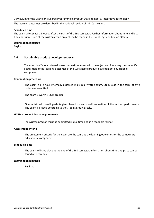The learning outcomes are described in the national section of this Curriculum.

#### **Scheduled time**

The exam takes place 13 weeks after the start of the 2nd semester. Further information about time and location and submission of the written group project can be found in the Event Log schedule on eCampus.

#### **Examination language**

English.

#### **2.4 Sustainable product development exam**

The exam is a 2‐hour internally assessed written exam with the objective of focusing the student's acquisition of the learning outcomes of the Sustainable product development educational component.

#### **Examination procedure**

The exam is a 2‐hour internally assessed individual written exam. Study aids in the form of own notes are permitted.

The exam is worth 7 ECTS credits.

One individual overall grade is given based on an overall evaluation of the written performance. The exam is graded according to the 7‐point grading scale.

#### **Written product formal requirements**

The written product must be submitted in due time and in a readable format.

# **Assessment criteria**

The assessment criteria for the exam are the same as the learning outcomes for the compulsory educational component.

#### **Scheduled time**

The exam will take place at the end of the 2nd semester. Information about time and place can be found on eCampus.

#### **Examination language**

English.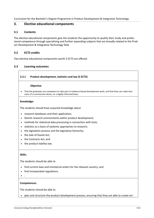# **3. Elective educational components**

## **3.1 Contents**

The elective educational components give the students the opportunity to qualify their study and profes‐ sional competence through specialising and further expanding subjects that are broadly related to the Prod‐ uct Development & Integrative Technology field.

# **3.2 ECTS credits**

r

Two elective educational components worth 5 ECTS are offered.

# **3.3 Learning outcomes**

| sions of a commercial nature, on a legally informed basis.<br>research databases and their application;<br>Danish research environments within product development;<br>methods for statistical data processing in connection with tests;<br>statistics as a basis of systemic approaches to research;<br>the legislation process and the legislative hierarchy;<br>the Sale of Goods Act;<br>the Contracts Act; and<br>the product liability law. | Objective                                                                                                      |
|---------------------------------------------------------------------------------------------------------------------------------------------------------------------------------------------------------------------------------------------------------------------------------------------------------------------------------------------------------------------------------------------------------------------------------------------------|----------------------------------------------------------------------------------------------------------------|
| Knowledge:                                                                                                                                                                                                                                                                                                                                                                                                                                        | That the graduates are competent to take part in evidence-based development work, and that they can make deci- |
| The students should have acquired knowledge about                                                                                                                                                                                                                                                                                                                                                                                                 |                                                                                                                |
|                                                                                                                                                                                                                                                                                                                                                                                                                                                   |                                                                                                                |
| $\bullet$<br>$\bullet$                                                                                                                                                                                                                                                                                                                                                                                                                            |                                                                                                                |
|                                                                                                                                                                                                                                                                                                                                                                                                                                                   |                                                                                                                |
|                                                                                                                                                                                                                                                                                                                                                                                                                                                   |                                                                                                                |
|                                                                                                                                                                                                                                                                                                                                                                                                                                                   |                                                                                                                |
|                                                                                                                                                                                                                                                                                                                                                                                                                                                   |                                                                                                                |
|                                                                                                                                                                                                                                                                                                                                                                                                                                                   |                                                                                                                |
| Skills:<br>The students should be able to                                                                                                                                                                                                                                                                                                                                                                                                         |                                                                                                                |
|                                                                                                                                                                                                                                                                                                                                                                                                                                                   |                                                                                                                |
|                                                                                                                                                                                                                                                                                                                                                                                                                                                   |                                                                                                                |
|                                                                                                                                                                                                                                                                                                                                                                                                                                                   |                                                                                                                |
| find current laws and ministerial orders for the relevant country; and                                                                                                                                                                                                                                                                                                                                                                            |                                                                                                                |
| find incorporated regulations.                                                                                                                                                                                                                                                                                                                                                                                                                    |                                                                                                                |

The students should be able to

plan and structure the product development process, ensuring that they are able to create evi‐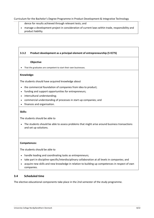dence for results achieved through relevant tests; and

 manage a development project in consideration of current laws within trade, responsibility and product liability.

# **3.3.2 Product development as a principal element of entrepreneurship (5 ECTS)**

#### **Objective**

• That the graduates are competent to start their own businesses.

#### **Knowledge:**

The students should have acquired knowledge about

- the commercial foundation of companies from idea to product;
- funding and support opportunities for entrepreneurs;
- intercultural understanding;
- commercial understanding of processes in start‐up companies; and
- finances and organisation.

#### **Skills:**

The students should be able to

• The students should be able to assess problems that might arise around business transactions and set up solutions.

#### **Competences:**

The students should be able to

- handle leading and coordinating tasks as entrepreneurs;
- take part in discipline-specific/interdisciplinary collaboration at all levels in companies; and
- acquire new skills and new knowledge in relation to building up competences in respect of own companies.

# **3.4 Scheduled time**

The elective educational components take place in the 2nd semester of the study programme.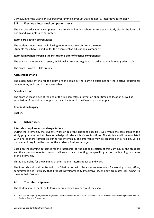## **3.5 Elective educational components exam**

The elective educational components are concluded with a 1‐hour written exam. Study aids in the forms of books and own notes are permitted.

## **Exam participation prerequisites**

The students must meet the following requirements in order to sit the exam: Students must have signed up for the given elective educational component.

## **Exam form (when choosing the institution's offer of elective components)**

The exam is an internally assessed, individual written exam graded according to the 7‐point grading scale.

The exam is worth 5 ECTS credits.

#### **Assessment criteria**

The assessment criteria for the exam are the same as the learning outcomes for the elective educational components, indicated in the above table.

#### **Scheduled time**

The exam will take place at the end of the 2nd semester. Information about time and location as well as submission of the written group project can be found in the Event Log on eCampus.

#### **Examination language**

English.

# **4. Internship**

#### **Internship requirements and expectations**

During the internship, the students work on relevant discipline‐specific issues within the core areas of the study programme<sup>1</sup> and achieve knowledge of relevant business functions. The students will be associated with one or more companies during the internship. The internship may be organised in a flexible, varied manner and may form the basis of the students' final exam project.

Based on the learning outcomes for the internship, cf. the national section of this Curriculum, the students and the supervisors/contact persons will collaborate on setting the specific goals for the learning outcomes of the internship.

This is a guideline for the planning of the students' internship tasks and work.

The internship should be likened to a full‐time job with the same requirements for working hours, effort, commitment and flexibility that Product Development & Integrative Technology graduates can expect to meet in their first jobs.

# **4.1 The internship exam**

The students must meet the following requirements in order to sit the exam:

<sup>1.</sup> See sections 10(2)(1), 11(2)(1) and 12(2)(1) of Ministerial Order no. 1521 of 16 December 2013 on Academy Profession Programmes and Professional Bachelor Programmes.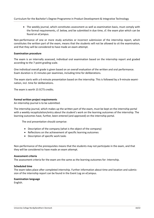The weekly journal, which constitutes assessment as well as examination basis, must comply with the formal requirements, cf. below, and be submitted in due time, cf. the exam plan which can be found on eCampus.

Non-performance of one or more study activities or incorrect submission of the internship report, which constitutes the written part of the exam, means that the students will not be allowed to sit the examination, and that they will be considered to have made an exam attempt.

#### **Examination procedure**

The exam is an internally assessed, individual oral examination based on the internship report and graded according to the 7‐point grading scale.

One individual overall grade is given based on an overall evaluation of the written and oral performance. Exam duration is 15 minutes per examinee, including time for deliberations.

The exam starts with a 6-minute presentation based on the internship. This is followed by a 9-minute examination, incl. time for deliberations.

The exam is worth 15 ECTS credits.

## **Formal written project requirements**

An internship journal is to be submitted.

The internship journal, which makes up the written part of the exam, must be kept on the internship portal with a weekly recapitulation/entry about the student's work on the learning outcomes of the internship. The learning outcomes have, further, been entered (and approved) on the internship portal.

The oral presentation should comprise:

- Description of the company (what is the object of the company)
- Reflections on the achievement of specific learning outcomes
- Description of specific work tasks

Non-performance of the prerequisites means that the students may not participate in the exam, and that they will be considered to have made an exam attempt.

#### **Assessment criteria**

The assessment criteria for the exam are the same as the learning outcomes for: Internship.

#### **Scheduled time**

The exam takes place after completed internship. Further information about time and location and submis‐ sion of the internship report can be found in the Event Log on eCampus.

#### **Examination language**

English.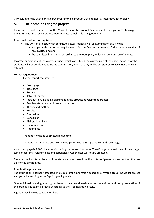# **5. The bachelor's degree project**

Please see the national section of this Curriculum for the Product Development & Integrative Technology programme for final exam project requirements as well as learning outcomes.

## **Exam participation prerequisites**

- The written project, which constitutes assessment as well as examination basis, must
	- comply with the formal requirements for the final exam project, cf. the national section of this Curriculum; and
	- be submitted in due time according to the exam plan, which can be found on eCampus.

Incorrect submission of the written project, which constitutes the written part of the exam, means that the students will not be allowed to sit the examination, and that they will be considered to have made an exam attempt.

#### **Formal requirements**

Formal report requirements

- Cover page
- Title page
- Preface
- Table of contents
- Introduction, including placement in the product development process
- Problem statement and research question
- Theory and method
- Results
- Discussion
- Conclusion
- Elaboration, if any
- List of references
- Appendices

The report must be submitted in due time.

The report may not exceed 40 standard pages, excluding appendices and cover page.

A standard page is 2,400 characters including spaces and footnotes. The 40 pages are exclusive of cover page, table of contents, reference list and appendices. Appendices will not be assessed.

The exam will not take place until the students have passed the final internship exam as well as the other ex‐ ams of the programme.

#### **Examination procedure**

The exam is an externally assessed, individual oral examination based on a written group/individual project and graded according to the 7‐point grading scale.

One individual overall grade is given based on an overall evaluation of the written and oral presentation of the project. The exam is graded according to the 7‐point grading scale.

A group may have up to two members.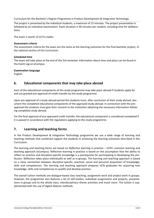The project is presented by the individual students; a maximum of 15 minutes. The project presentation is followed by an individual examination. Exam duration is 40 minutes per student, including time for deliberations.

The exam is worth 15 ECTS credits.

## **Assessment criteria**

The assessment criteria for the exam are the same as the learning outcomes for the final bachelor project, cf. the national section of this Curriculum.

## **Scheduled time**

The exam will take place at the end of the 3rd semester. Information about time and place can be found in the Event Log on eCampus.

## **Examination language**

English.

# **6. Educational components that may take place abroad**

Each of the educational components of the study programme may take place abroad if students apply for and are granted pre‐approval of credit transfer by the study programme.

Upon pre-approval of a study abroad period the students must, after conclusion of their study abroad, document the completed educational components of the approved study abroad. In connection with the pre‐ approval the students must give their consent to the institution obtaining the necessary information following completed study abroad.

For the final approval of pre‐approved credit transfer, the educational component is considered completed if it is passed in accordance with the regulations applying to the study programme.

# **7. Learning and teaching forms**

In the Product Development & Integrative Technology programme we use a wide range of learning and teaching methods that combined support the students in achieving the learning outcomes described in this Curriculum.

The learning and teaching forms are based on *Reflective learning in practice* – UCN's common learning and teaching approach (eCampus). Reflective learning in practice is based on the assumption that the ability to reflect on practice and discipline‐specific knowledge is a prerequisite for participating in developing the pro‐ fession. Reflection takes place individually as well as in groups. The learning and teaching approach is based on a close connection between discipline‐specific, practical, social and personal acquisition of knowledge, skills and competences. The learning and teaching approach prepares UCN graduates for acquiring new knowledge, skills and competences to qualify and develop practice.

The overall tuition methods are dialogue‐based class teaching, assignment work and project work in groups. However, the programme also features a lot of self-studies, individual assignments and projects, presentations in groups and to the whole class, interdisciplinary theme activities and much more. The tuition is supplemented with the use of digital didactic methods.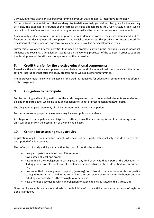Common to all these activities is that we always try to define (or help you define) clear goals for the learning activities. The expected distribution of the learning activities appears from the *Study Activity Model*, which can be found on eCampus – for the entire programme as well as the individual educational components.

A personality profile (*"Insights"*) is drawn up for all new students to promote their understanding of and re‐ flection on the development of their personal and social competences. This profile is for instance used for discussions of group processes and forms of collaboration as well as personal learning styles.

Furthermore, we offer different activities that may help promote learning in the individual, such as individual guidance and coaching. During lessons, we focus on the working processes of the subject in order to support the development of the skills and competences of the profession.

# **8. Credit transfer for the elective educational components**

Passed elective educational components are equivalent to the similar educational components at other educational institutions that offer this study programme as well as in other programmes.

Pre‐approved credit transfer can be applied for if credit is requested for educational components not offered by the programme.

# **9. Obligation to participate**

For the teaching and learning methods of the study programme to work as intended, students are under an obligation to participate, which includes an obligation to submit or present assignments/projects.

The obligation to participate may also be a prerequisite for exam participation.

Furthermore, some programme elements may have compulsory attendance.

An obligation to participate and an obligation to attend, if any, that are prerequisites of participating in ex‐ ams, will appear from the description of the individual exam.

# **10. Criteria for assessing study activity**

Registration may be terminated for students who have not been participating actively in studies for a continuous period of at least one year.

The definition of study activity is that within the past 12 months the students

- have participated in at least two different exams;
- have passed at least one exam;
- have fulfilled their obligation to participate in any kind of activity that is part of the education, including group projects, joint projects, distance learning activities etc. as described in this Curricu‐ lum;
- have submitted the assignments, reports, (learning) portfolios etc. that are prerequisites for partic‐ ipating in exams as described in the curriculum; the coursework being academically honest and not including material which is the copyright of others; and
- have attended activities to which an obligation to attend applies as stated in this Curriculum.

Non-compliance with one or more criteria in the definition of study activity may cause cessation of registration as a student.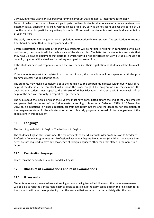Periods in which the students have not participated actively in studies due to leave of absence, maternity or paternity leave, adoption of a child, verified illness or military service do not count against the period of 12 months required for participating actively in studies. On request, the students must provide documentation of such matters.

The study programme may ignore these stipulations in exceptional circumstances. The application for exemp‐ tion should be submitted to the programme director.

Before registration is terminated, the individual students will be notified in writing. In connection with such notification, the students will be made aware of the above rules. The letter to the students must state that they have 14 days to document that periods in which they did not participate actively in studies should not count in; together with a deadline for making an appeal for exemption.

If the students have not responded within the fixed deadline, their registration as students will be terminated.

If the students request that registration is not terminated, the procedure will be suspended until the pro‐ gramme director has decided the case.

The students may make a complaint about the decision to the programme director within two weeks of re‐ ceipt of the decision. The complaint will suspend the proceedings. If the programme director maintains the decision, the students may appeal to the Ministry of Higher Education and Science within two weeks of re‐ ceipt of the decision, but only in respect of legal matters.

The rules about the exams in which the students must have participated before the end of the 2nd semester and passed before the end of the 2nd semester according to Ministerial Order no. 1519 of 16 December 2013 on examinations in higher education programmes (Exam Order), and the deadlines for completion of the programme stated in the ministerial order for this study programme, remain in force regardless of the stipulations in this document.

# **11. Language**

The teaching material is in English. The tuition is in English.

The students' English skills must meet the requirements of the Ministerial Order on Admission to Academy Profession Degree Programmes and Professional Bachelor's Degree Programmes (the Admission Order). Stu‐ dents are not required to have any knowledge of foreign languages other than that stated in the Admission Order.

# **11.1 Examination language**

Exams must be conducted in understandable English.

# **12. Illness resit examinations and resit examinations**

# **12.1 Illness resits**

Students who were prevented from attending an exam owing to verified illness or other unforeseen reason will be able to resit the (illness resit) exam as soon as possible. If the exam takes place in the final exam term, the students will have the opportunity to sit the exam in that exam term or immediately after the term.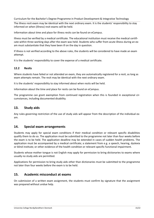The illness resit exam may be identical with the next ordinary exam. It is the students' responsibility to stay informed on when (illness) resit exams will be held.

Information about time and place for illness resits can be found on eCampus.

Illness must be verified by a medical certificate. The educational institution must receive the medical certifi‐ cate within three working days after the exam was held. Students who suffer from acute illness during an ex‐ am must substantiate that they have been ill on the day in question.

If illness is not verified according to the above rules, the students will be considered to have made an exam attempt.

It is the students' responsibility to cover the expense of a medical certificate.

# **12.2 Resits**

Where students have failed or not attended an exam, they are automatically registered for a resit, as long as exam attempts remain. The resit may be identical with the next ordinary exam.

It is the students' responsibility to stay informed about when resits will be held.

Information about the time and place for resits can be found on eCampus.

The programme can grant exemption from continued registration when this is founded in exceptional circumstances, including documented disability.

# **13. Study aids**

Any rules governing restriction of the use of study aids will appear from the description of the individual ex‐ am.

# **14. Special exam arrangements**

Students may apply for special exam conditions if their medical condition or relevant specific disabilities qualify them to do so. The application must be submitted to the programme not later than four weeks before the exam is to be held. The application deadline may be extended in cases of sudden health problems. The application must be accompanied by a medical certificate; a statement from e.g. a speech, hearing, dyslexia or blind institute; or other evidence of the health condition or relevant specific functional impairment.

Students whose mother tongue is not English may apply for permission to bring dictionaries to exams where usually no study aids are permitted.

Applications for permission to bring study aids other than dictionaries must be submitted to the programme not later than four weeks before the exam is to be held.

# **15. Academic misconduct at exams**

On submission of a written exam assignment, the students must confirm by signature that the assignment was prepared without undue help.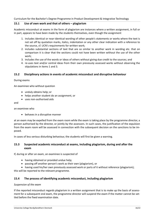# **15.1 Use of own work and that of others – plagiarism**

Academic misconduct at exams in the form of plagiarism are instances where a written assignment, in full or in part, appears to have been made by the students themselves, even though the assignment

- 1. includes identical or near-identical wording of other people's statements or works where the text is not set off by quotation marks, italics, indentation or any other clear indication with a reference to the source, cf. UCN's requirements for written work;
- 2. includes substantial sections of text that are so similar to another work in wording etc. that on comparison it is clear that the sections could not have been written without the use of the other work;
- 3. includes the use of the words or ideas of others without giving due credit to the sources; and
- 4. re-uses text and/or central ideas from their own previously assessed works without observing the stipulations in items 1 and 3.

## **15.2 Disciplinary actions in events of academic misconduct and disruptive behaviour**

#### During exams

An examinee who without question

- unduly obtains help; or
- helps another student do an assignment, or
- uses non-authorised aids

and

an examinee who

behaves in a disruptive manner

at an exam may be expelled from the exam room while the exam is taking place by the programme director, a person authorised by the director, or jointly by the assessors. In such cases, the justification of the expulsion from the exam room will be assessed in connection with the subsequent decision on the sanctions to be im‐ posed.

In cases of less serious disturbing behaviour, the students will first be given a warning.

# **15.3 Suspected academic misconduct at exams, including plagiarism, during and after the exam**

If, during or after an exam, an examinee is suspected of

- having obtained or provided undue help;
- passing off another person's work as their own (plagiarism), or

• having used his/her own previously assessed work or parts of it without reference (plagiarism);

this will be reported to the relevant programme.

# **15.4 The process of identifying academic misconduct, including plagiarism**

#### *Suspension of the exam*

If the reported misconduct regards plagiarism in a written assignment that is to make up the basis of assess‐ ment for a subsequent oral exam, the programme director will suspend the exam if the matter cannot be settled before the fixed examination date.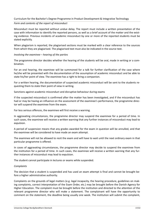#### *Form and contents of the report of misconduct*

Misconduct must be reported without undue delay. The report must include a written presentation of the case with information to identify the reported persons, as well as a brief account of the matter and the existing evidence. Previous incidents of academic misconduct by one or more of the reported students must be stated explicitly.

When plagiarism is reported, the plagiarised sections must be marked with a clear reference to the sources from which they are plagiarised. The plagiarised text must also be indicated in the source text.

#### *Involving the examinee – hearing of the parties*

The programme director decides whether the hearing of the students will be oral, made in writing or a combination.

For an oral hearing, the examinee will be summoned for a talk for further clarification of the case where he/she will be presented with the documentation of the assumption of academic misconduct and be able to state his/her point of view. The examinee has a right to bring a companion.

For a written hearing, the documentation of suspected academic misconduct will be sent to the students re‐ questing them to state their point of view in writing.

Sanctions against academic misconduct and disruptive behaviour during exams

If the suspected misconduct is confirmed after the matter has been investigated, and if the misconduct has had or may be having an influence on the assessment of the examinee's performance, the programme director will suspend the examinee from the exam.

For less serious offences, the examinee will first receive a warning.

In aggravating circumstances, the programme director may suspend the examinee for a period of time. In such cases, the examinee will receive a written warning that any further instances of misconduct may lead to expulsion.

A period of suspension means that any grades awarded for the exam in question will be annulled, and that the examinee will be considered to have made an exam attempt.

The examinee will not be allowed to resit the exam and will have to wait until the next ordinary exam in that particular programme is offered.

In cases of aggravating circumstances, the programme director may decide to suspend the examinee from the institution for a period of time. In such cases, the examinee will receive a written warning that any fur‐ ther instances of misconduct may lead to expulsion.

The student cannot participate in lectures or exams while suspended.

#### *Complaints*

The decision that a student is suspended and has used an exam attempt is final and cannot be brought be‐ fore a higher administrative authority.

Complaints on the grounds of legal matters (e.g. legal incapacity, the hearing procedure, guidelines on mak‐ ing complaints, correct interpretation of the Exam Order, etc.) may be brought before the Danish Agency for Higher Education. The complaint must be brought before the institution and directed to the attention of the relevant programme director who will make a statement. The complainant will have the opportunity to comment on the statement, the deadline being usually one week. The institution will submit the complaint,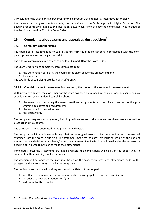the statement and any comments made by the complainant to the Danish Agency for Higher Education. The deadline for complaints made to the institution is two weeks from the day the complainant was notified of the decision, cf. section 51 of the Exam Order.

# **16. Complaints about exams and appeals against decisions<sup>2</sup>**

# **16.1 Complaints about exams**

The examinee is recommended to seek guidance from the student advisors in connection with the complaints procedure and writing a complaint.

The rules of complaints about exams can be found in part 10 of the Exam Order.

The Exam Order divides complaints into complaints about

- 1. the examination basis etc., the course of the exam and/or the assessment; and
- 2. legal matters.

The two kinds of complaints are dealt with differently.

#### **16.1.1 Complaints about the examination basis etc., the course of the exam and the assessment**

Within two weeks after the assessment of the exam has been announced in the usual way, an examinee may submit a written, substantiated complaint about

- 3. the exam basis, including the exam questions, assignments etc., and its connection to the pro‐ gramme objectives and requirements;
- 4. the examination procedure; and
- 5. the assessment.

The complaint may concern any exam, including written exams, oral exams and combined exams as well as practical or clinical exams.

The complaint is to be submitted to the programme director.

The complaint will immediately be brought before the original assessors, i.e. the examiner and the external examiner from the exam in question. The statement made by the assessors must be usable as the basis of the institution's decision on academic/professional matters. The institution will usually give the assessors a deadline of two weeks in which to make their statements.

Immediately after the statements are made available, the complainant will be given the opportunity to comment on them within, usually, one week.

The decision will be made by the institution based on the academic/professional statements made by the assessors and any comments made by the complainant.

The decision must be made in writing and be substantiated. It may regard

- 1. an offer of a new assessment (re-assessment) this only applies to written examinations;
- 2. an offer of a new examination (resit); or
- 3. a dismissal of the complaint.

<sup>2.</sup> See section 10 of the Exam Order: https://www.retsinformation.dk/Forms/R0710.aspx?id=160839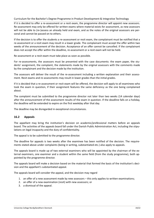If it is decided to offer a re‐assessment or a resit exam, the programme director will appoint new assessors. Re-assessment may only be offered for written exams where material exists for assessment, as new assessors will not be able to (re-)assess an already held oral exam, and as the notes of the original assessors are personal and cannot be passed on to others.

If the decision is to offer the students a re‐assessment or resit exam, the complainant must be notified that a re-assessment or a resit exam may result in a lower grade. The complainant must accept the offer within two weeks of the announcement of the decision. Acceptance of an offer cannot be cancelled. If the complainant does not accept the offer within the deadline, re‐assessment or a resit exam will not be held.

Re‐assessment or a resit exam must take place as soon as possible.

For re-assessments, the assessors must be presented with the case documents: the exam paper, the students' assignment, the complaint, the statements made by the original assessors with the comments made by the complainant and the decision made by the institution.

The assessors will deliver the result of the re-assessment including a written explanation and their assessment. Resit exams and re-assessments may result in lower grades than the initial grades.

If it is decided that a re‐assessment or resit exam will be offered, the decision will apply to all examinees who took the exam in question, if their assignment features the same deficiency as the one being complained about.

The complaint must be submitted to the programme director not later than two weeks (14 calendar days) after the announcement of the assessment results of the exam in question. If the deadline falls on a holiday, the deadline will be extended to expire on the first weekday after that day.

The deadline may be disregarded in exceptional circumstances.

# **16.2 Appeals**

The appellant may bring the institution's decision on academic/professional matters before an appeals board. The activities of the appeals board fall under the Danish Public Administration Act, including the stipu‐ lations on legal incapacity and the duty of confidentiality.

The appeal is to be submitted to the programme director.

The deadline for appeals is two weeks after the examinee has been notified of the decision. The require‐ ments stated above under complaints (being in writing, substantiated etc.) also apply to appeals.

The appeals board is made up of two external examiners who will be appointed by the chairman of the ex‐ ternal examiners, one examiner and a student within the same field (from the study programme), both appointed by the programme director.

The appeals board will make a decision based on the material that formed the basis of the institution's decision and the appellant's substantiated appeal.

The appeals board will consider the appeal, and the decision may regard

- 1. an offer of a new assessment made by new assessors this only applies to written examinations;
- 2. an offer of a new examination (resit) with new assessors; or
- 3. a dismissal of the appeal.